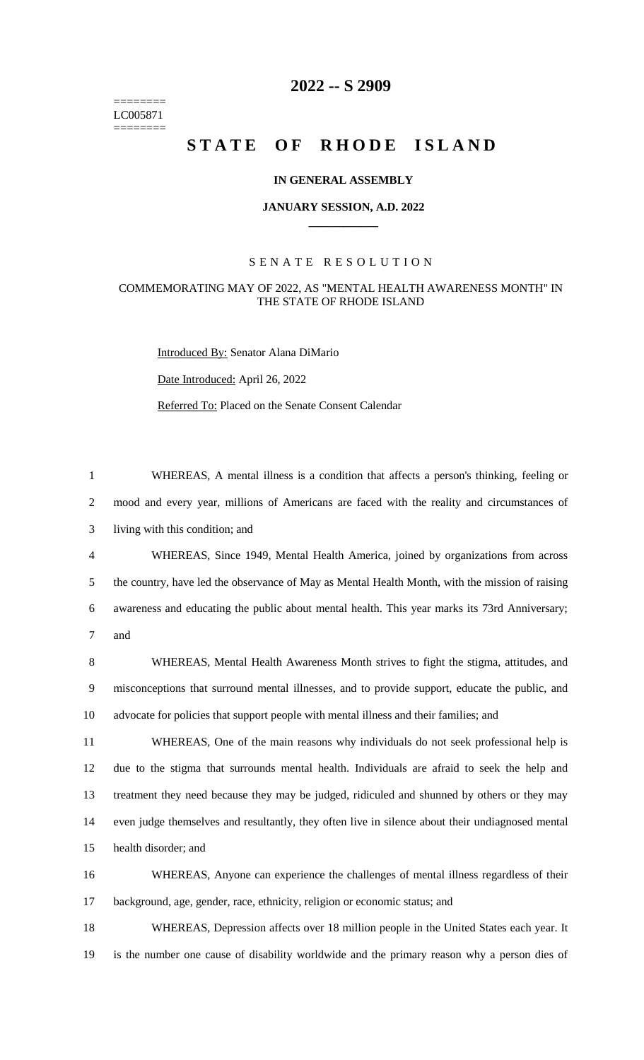======== LC005871 ========

# **-- S 2909**

# **STATE OF RHODE ISLAND**

## **IN GENERAL ASSEMBLY**

#### **JANUARY SESSION, A.D. 2022 \_\_\_\_\_\_\_\_\_\_\_\_**

# S E N A T E R E S O L U T I O N

## COMMEMORATING MAY OF 2022, AS "MENTAL HEALTH AWARENESS MONTH" IN THE STATE OF RHODE ISLAND

Introduced By: Senator Alana DiMario

Date Introduced: April 26, 2022

Referred To: Placed on the Senate Consent Calendar

 WHEREAS, A mental illness is a condition that affects a person's thinking, feeling or mood and every year, millions of Americans are faced with the reality and circumstances of living with this condition; and WHEREAS, Since 1949, Mental Health America, joined by organizations from across

 the country, have led the observance of May as Mental Health Month, with the mission of raising awareness and educating the public about mental health. This year marks its 73rd Anniversary; and

 WHEREAS, Mental Health Awareness Month strives to fight the stigma, attitudes, and misconceptions that surround mental illnesses, and to provide support, educate the public, and advocate for policies that support people with mental illness and their families; and

 WHEREAS, One of the main reasons why individuals do not seek professional help is due to the stigma that surrounds mental health. Individuals are afraid to seek the help and treatment they need because they may be judged, ridiculed and shunned by others or they may even judge themselves and resultantly, they often live in silence about their undiagnosed mental health disorder; and

 WHEREAS, Anyone can experience the challenges of mental illness regardless of their background, age, gender, race, ethnicity, religion or economic status; and

 WHEREAS, Depression affects over 18 million people in the United States each year. It is the number one cause of disability worldwide and the primary reason why a person dies of